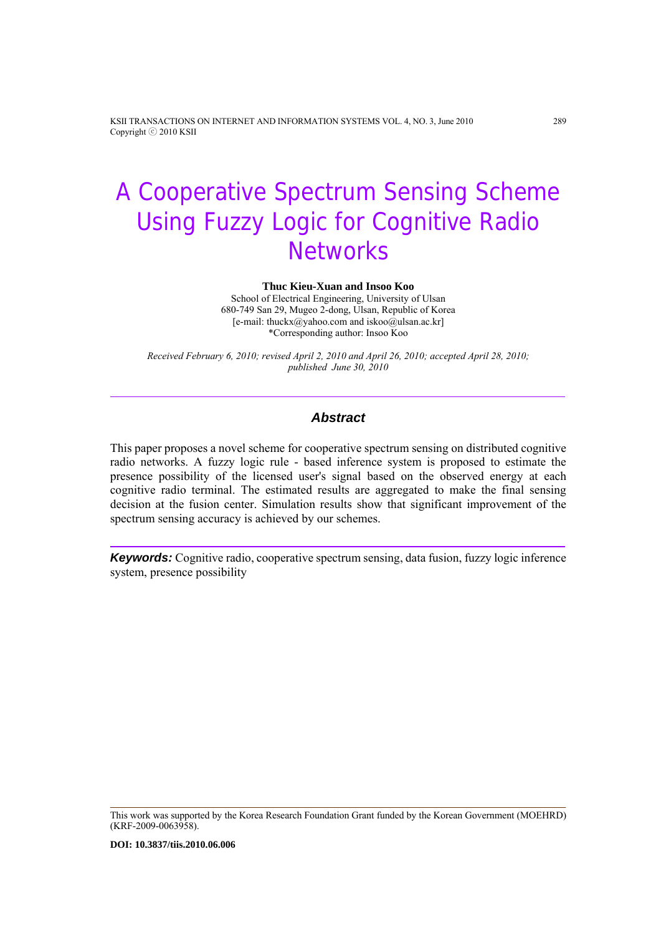KSII TRANSACTIONS ON INTERNET AND INFORMATION SYSTEMS VOL. 4, NO. 3, June 2010 289 Copyright ⓒ 2010 KSII

# A Cooperative Spectrum Sensing Scheme Using Fuzzy Logic for Cognitive Radio **Networks**

**Thuc Kieu-Xuan and Insoo Koo** 

School of Electrical Engineering, University of Ulsan 680-749 San 29, Mugeo 2-dong, Ulsan, Republic of Korea [e-mail: thuckx@yahoo.com and iskoo@ulsan.ac.kr] \*Corresponding author: Insoo Koo

*Received February 6, 2010; revised April 2, 2010 and April 26, 2010; accepted April 28, 2010; published June 30, 2010* 

# *Abstract*

This paper proposes a novel scheme for cooperative spectrum sensing on distributed cognitive radio networks. A fuzzy logic rule - based inference system is proposed to estimate the presence possibility of the licensed user's signal based on the observed energy at each cognitive radio terminal. The estimated results are aggregated to make the final sensing decision at the fusion center. Simulation results show that significant improvement of the spectrum sensing accuracy is achieved by our schemes.

*Keywords:* Cognitive radio, cooperative spectrum sensing, data fusion, fuzzy logic inference system, presence possibility

This work was supported by the Korea Research Foundation Grant funded by the Korean Government (MOEHRD) (KRF-2009-0063958).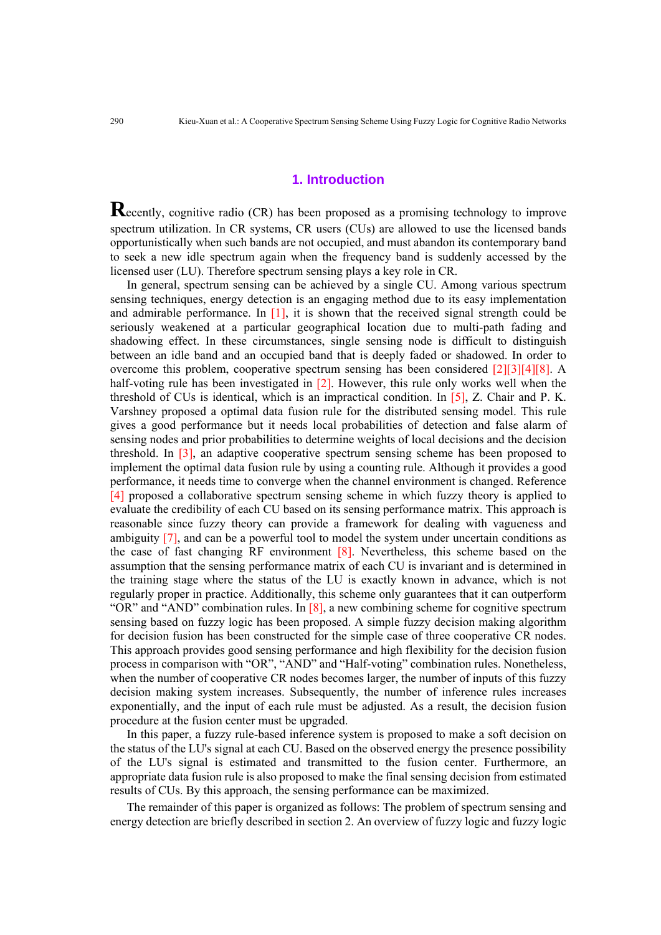## **1. Introduction**

**Recently, cognitive radio (CR) has been proposed as a promising technology to improve** spectrum utilization. In CR systems, CR users (CUs) are allowed to use the licensed bands opportunistically when such bands are not occupied, and must abandon its contemporary band to seek a new idle spectrum again when the frequency band is suddenly accessed by the licensed user (LU). Therefore spectrum sensing plays a key role in CR.

In general, spectrum sensing can be achieved by a single CU. Among various spectrum sensing techniques, energy detection is an engaging method due to its easy implementation and admirable performance. In  $[1]$ , it is shown that the received signal strength could be seriously weakened at a particular geographical location due to multi-path fading and shadowing effect. In these circumstances, single sensing node is difficult to distinguish between an idle band and an occupied band that is deeply faded or shadowed. In order to overcome this problem, cooperative spectrum sensing has been considered  $[2][3][4][8]$ . A half-voting rule has been investigated in [2]. However, this rule only works well when the threshold of CUs is identical, which is an impractical condition. In [5], Z. Chair and P. K. Varshney proposed a optimal data fusion rule for the distributed sensing model. This rule gives a good performance but it needs local probabilities of detection and false alarm of sensing nodes and prior probabilities to determine weights of local decisions and the decision threshold. In [3], an adaptive cooperative spectrum sensing scheme has been proposed to implement the optimal data fusion rule by using a counting rule. Although it provides a good performance, it needs time to converge when the channel environment is changed. Reference [4] proposed a collaborative spectrum sensing scheme in which fuzzy theory is applied to evaluate the credibility of each CU based on its sensing performance matrix. This approach is reasonable since fuzzy theory can provide a framework for dealing with vagueness and ambiguity [7], and can be a powerful tool to model the system under uncertain conditions as the case of fast changing RF environment [8]. Nevertheless, this scheme based on the assumption that the sensing performance matrix of each CU is invariant and is determined in the training stage where the status of the LU is exactly known in advance, which is not regularly proper in practice. Additionally, this scheme only guarantees that it can outperform "OR" and "AND" combination rules. In  $[8]$ , a new combining scheme for cognitive spectrum sensing based on fuzzy logic has been proposed. A simple fuzzy decision making algorithm for decision fusion has been constructed for the simple case of three cooperative CR nodes. This approach provides good sensing performance and high flexibility for the decision fusion process in comparison with "OR", "AND" and "Half-voting" combination rules. Nonetheless, when the number of cooperative CR nodes becomes larger, the number of inputs of this fuzzy decision making system increases. Subsequently, the number of inference rules increases exponentially, and the input of each rule must be adjusted. As a result, the decision fusion procedure at the fusion center must be upgraded.

In this paper, a fuzzy rule-based inference system is proposed to make a soft decision on the status of the LU's signal at each CU. Based on the observed energy the presence possibility of the LU's signal is estimated and transmitted to the fusion center. Furthermore, an appropriate data fusion rule is also proposed to make the final sensing decision from estimated results of CUs. By this approach, the sensing performance can be maximized.

The remainder of this paper is organized as follows: The problem of spectrum sensing and energy detection are briefly described in section 2. An overview of fuzzy logic and fuzzy logic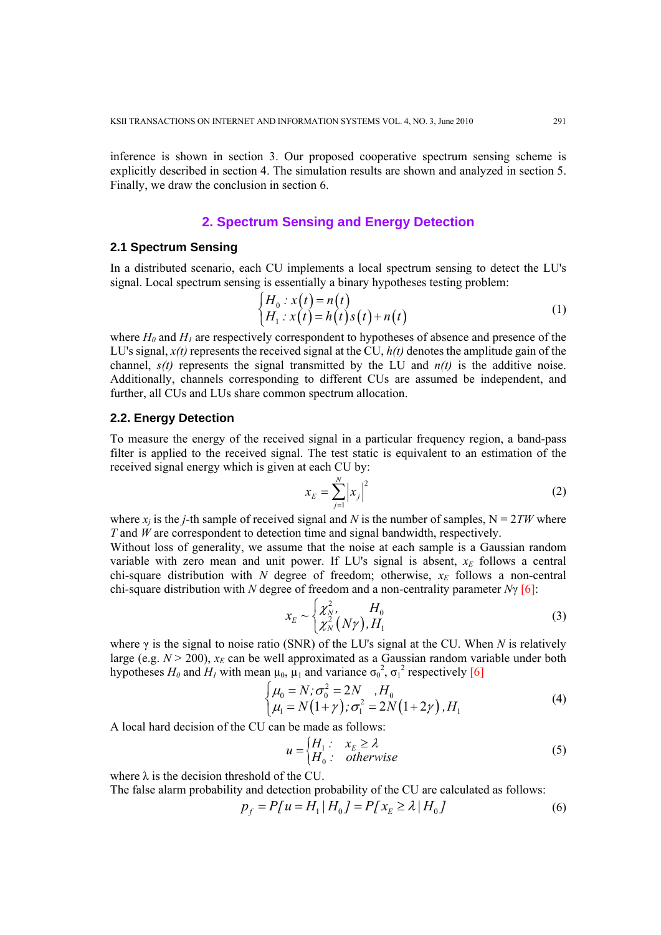inference is shown in section 3. Our proposed cooperative spectrum sensing scheme is explicitly described in section 4. The simulation results are shown and analyzed in section 5. Finally, we draw the conclusion in section 6.

# **2. Spectrum Sensing and Energy Detection**

#### **2.1 Spectrum Sensing**

In a distributed scenario, each CU implements a local spectrum sensing to detect the LU's signal. Local spectrum sensing is essentially a binary hypotheses testing problem:

$$
\begin{cases}\nH_0: x(t) = n(t) \\
H_1: x(t) = h(t)s(t) + n(t)\n\end{cases}
$$
\n(1)

where  $H_0$  and  $H_1$  are respectively correspondent to hypotheses of absence and presence of the LU's signal,  $x(t)$  represents the received signal at the CU,  $h(t)$  denotes the amplitude gain of the channel,  $s(t)$  represents the signal transmitted by the LU and  $n(t)$  is the additive noise. Additionally, channels corresponding to different CUs are assumed be independent, and further, all CUs and LUs share common spectrum allocation.

## **2.2. Energy Detection**

To measure the energy of the received signal in a particular frequency region, a band-pass filter is applied to the received signal. The test static is equivalent to an estimation of the received signal energy which is given at each CU by:

$$
x_E = \sum_{j=1}^{N} \left| x_j \right|^2 \tag{2}
$$

where  $x_i$  is the *j*-th sample of received signal and *N* is the number of samples,  $N = 2TW$  where *T* and *W* are correspondent to detection time and signal bandwidth, respectively.

Without loss of generality, we assume that the noise at each sample is a Gaussian random variable with zero mean and unit power. If LU's signal is absent,  $x_E$  follows a central chi-square distribution with  $N$  degree of freedom; otherwise,  $x_E$  follows a non-central chi-square distribution with *N* degree of freedom and a non-centrality parameter *N*γ [6]:

$$
x_E \sim \begin{cases} \chi_N^2, & H_0 \\ \chi_N^2(N\gamma), & H_1 \end{cases}
$$
 (3)

where γ is the signal to noise ratio (SNR) of the LU's signal at the CU. When *N* is relatively large (e.g.  $N > 200$ ),  $x_E$  can be well approximated as a Gaussian random variable under both hypotheses  $H_0$  and  $H_1$  with mean  $\mu_0$ ,  $\mu_1$  and variance  $\sigma_0^2$ ,  $\sigma_1^2$  respectively [6]

$$
\begin{cases}\n\mu_0 = N; \sigma_0^2 = 2N, H_0 \\
\mu_1 = N(1+\gamma); \sigma_1^2 = 2N(1+2\gamma), H_1\n\end{cases}
$$
\n(4)

A local hard decision of the CU can be made as follows:

$$
u = \begin{cases} H_1: & x_E \ge \lambda \\ H_0: & otherwise \end{cases}
$$
 (5)

where  $\lambda$  is the decision threshold of the CU.

The false alarm probability and detection probability of the CU are calculated as follows:

$$
p_f = P[u = H_1 | H_0] = P[x_E \ge \lambda | H_0]
$$
\n(6)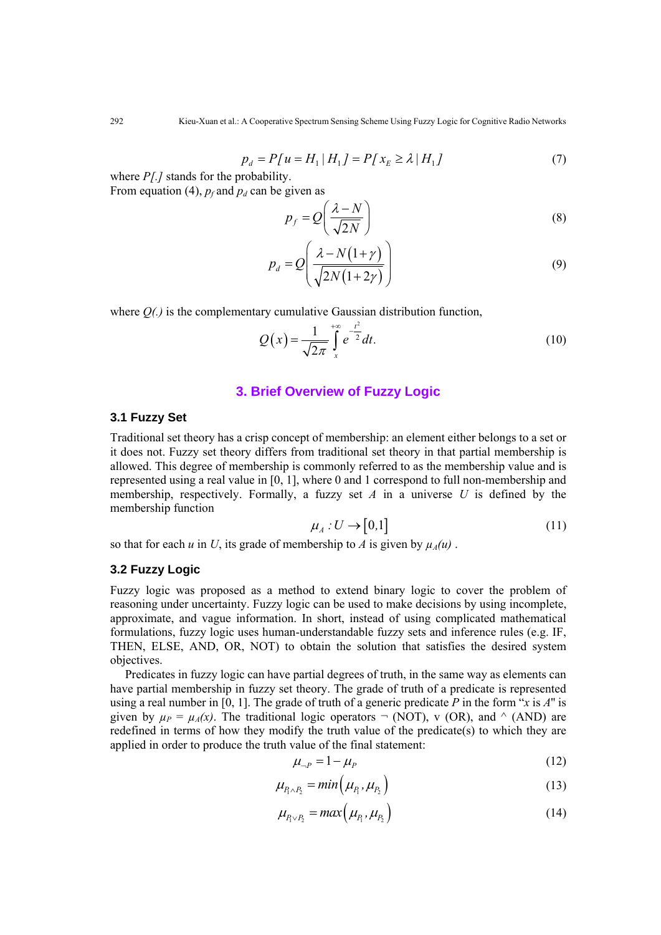$$
p_d = P[u = H_1 | H_1] = P[x_E \ge \lambda | H_1]
$$
\n(7)

where *P[.]* stands for the probability. From equation (4),  $p_f$  and  $p_d$  can be given as

$$
p_f = Q\left(\frac{\lambda - N}{\sqrt{2N}}\right) \tag{8}
$$

$$
p_d = Q\left(\frac{\lambda - N(1+\gamma)}{\sqrt{2N(1+2\gamma)}}\right) \tag{9}
$$

where  $O(\lambda)$  is the complementary cumulative Gaussian distribution function,

$$
Q(x) = \frac{1}{\sqrt{2\pi}} \int_{x}^{+\infty} e^{-\frac{t^2}{2}} dt.
$$
 (10)

# **3. Brief Overview of Fuzzy Logic**

#### **3.1 Fuzzy Set**

Traditional set theory has a crisp concept of membership: an element either belongs to a set or it does not. Fuzzy set theory differs from traditional set theory in that partial membership is allowed. This degree of membership is commonly referred to as the membership value and is represented using a real value in [0, 1], where 0 and 1 correspond to full non-membership and membership, respectively. Formally, a fuzzy set *A* in a universe *U* is defined by the membership function

$$
\mu_A: U \to [0,1] \tag{11}
$$

so that for each *u* in *U*, its grade of membership to *A* is given by  $\mu_A(u)$ .

# **3.2 Fuzzy Logic**

Fuzzy logic was proposed as a method to extend binary logic to cover the problem of reasoning under uncertainty. Fuzzy logic can be used to make decisions by using incomplete, approximate, and vague information. In short, instead of using complicated mathematical formulations, fuzzy logic uses human-understandable fuzzy sets and inference rules (e.g. IF, THEN, ELSE, AND, OR, NOT) to obtain the solution that satisfies the desired system objectives.

Predicates in fuzzy logic can have partial degrees of truth, in the same way as elements can have partial membership in fuzzy set theory. The grade of truth of a predicate is represented using a real number in [0, 1]. The grade of truth of a generic predicate *P* in the form "*x* is *A*'' is given by  $\mu_P = \mu_A(x)$ . The traditional logic operators  $\neg$  (NOT), v (OR), and  $\wedge$  (AND) are redefined in terms of how they modify the truth value of the predicate(s) to which they are applied in order to produce the truth value of the final statement:

$$
\mu_{-P} = 1 - \mu_P \tag{12}
$$

$$
\mu_{P_1 \wedge P_2} = \min \left( \mu_{P_1}, \mu_{P_2} \right) \tag{13}
$$

$$
\mu_{P_1 \vee P_2} = max(\mu_{P_1}, \mu_{P_2}) \tag{14}
$$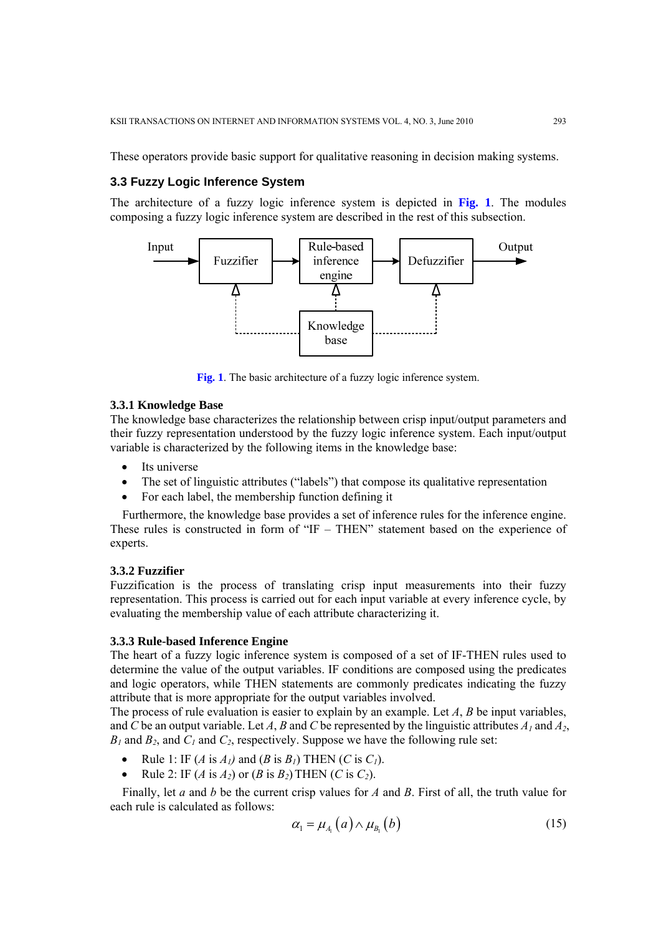These operators provide basic support for qualitative reasoning in decision making systems.

# **3.3 Fuzzy Logic Inference System**

The architecture of a fuzzy logic inference system is depicted in **Fig. 1**. The modules composing a fuzzy logic inference system are described in the rest of this subsection.



**Fig. 1**. The basic architecture of a fuzzy logic inference system.

#### **3.3.1 Knowledge Base**

The knowledge base characterizes the relationship between crisp input/output parameters and their fuzzy representation understood by the fuzzy logic inference system. Each input/output variable is characterized by the following items in the knowledge base:

- Its universe
- The set of linguistic attributes ("labels") that compose its qualitative representation
- For each label, the membership function defining it

Furthermore, the knowledge base provides a set of inference rules for the inference engine. These rules is constructed in form of "IF – THEN" statement based on the experience of experts.

# **3.3.2 Fuzzifier**

Fuzzification is the process of translating crisp input measurements into their fuzzy representation. This process is carried out for each input variable at every inference cycle, by evaluating the membership value of each attribute characterizing it.

#### **3.3.3 Rule-based Inference Engine**

The heart of a fuzzy logic inference system is composed of a set of IF-THEN rules used to determine the value of the output variables. IF conditions are composed using the predicates and logic operators, while THEN statements are commonly predicates indicating the fuzzy attribute that is more appropriate for the output variables involved.

The process of rule evaluation is easier to explain by an example. Let *A*, *B* be input variables, and *C* be an output variable. Let *A*, *B* and *C* be represented by the linguistic attributes  $A<sub>l</sub>$  and  $A<sub>2</sub>$ ,  $B_1$  and  $B_2$ , and  $C_1$  and  $C_2$ , respectively. Suppose we have the following rule set:

- Rule 1: IF  $(A \text{ is } A_1)$  and  $(B \text{ is } B_1)$  THEN  $(C \text{ is } C_1)$ .
- Rule 2: IF (*A* is *A2*) or (*B* is *B2*) THEN (*C* is *C2*).

Finally, let *a* and *b* be the current crisp values for *A* and *B*. First of all, the truth value for each rule is calculated as follows:

$$
\alpha_{1} = \mu_{A_{1}}(a) \wedge \mu_{B_{1}}(b) \tag{15}
$$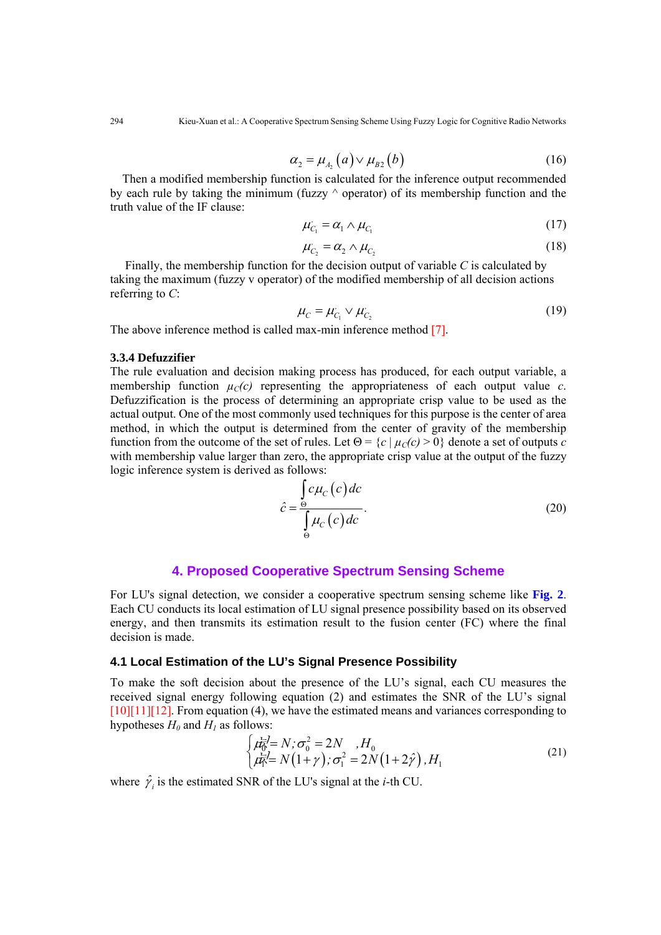$$
\alpha_2 = \mu_{A_2}(a) \vee \mu_{B2}(b) \tag{16}
$$

Then a modified membership function is calculated for the inference output recommended by each rule by taking the minimum (fuzzy  $\land$  operator) of its membership function and the truth value of the IF clause:

$$
\mu_{C_1} = \alpha_1 \wedge \mu_{C_1} \tag{17}
$$

$$
\mu_{C_2} = \alpha_2 \wedge \mu_{C_2} \tag{18}
$$

Finally, the membership function for the decision output of variable *C* is calculated by taking the maximum (fuzzy v operator) of the modified membership of all decision actions referring to *C*:

$$
\mu_C = \mu_{C_1} \vee \mu_{C_2} \tag{19}
$$

The above inference method is called max-min inference method [7].

## **3.3.4 Defuzzifier**

The rule evaluation and decision making process has produced, for each output variable, a membership function  $\mu_C(c)$  representing the appropriateness of each output value c. Defuzzification is the process of determining an appropriate crisp value to be used as the actual output. One of the most commonly used techniques for this purpose is the center of area method, in which the output is determined from the center of gravity of the membership function from the outcome of the set of rules. Let  $\Theta = \{c \mid \mu_C(c) > 0\}$  denote a set of outputs *c* with membership value larger than zero, the appropriate crisp value at the output of the fuzzy logic inference system is derived as follows:

$$
\hat{c} = \frac{\int_{\Theta} c \mu_c(c) dc}{\int_{\Theta} \mu_c(c) dc}.
$$
\n(20)

## **4. Proposed Cooperative Spectrum Sensing Scheme**

For LU's signal detection, we consider a cooperative spectrum sensing scheme like **Fig. 2**. Each CU conducts its local estimation of LU signal presence possibility based on its observed energy, and then transmits its estimation result to the fusion center (FC) where the final decision is made.

# **4.1 Local Estimation of the LU's Signal Presence Possibility**

To make the soft decision about the presence of the LU's signal, each CU measures the received signal energy following equation (2) and estimates the SNR of the LU's signal  $[10][11][12]$ . From equation (4), we have the estimated means and variances corresponding to hypotheses  $H_0$  and  $H_1$  as follows:

$$
\begin{cases}\n\mu_0^2 = N; \sigma_0^2 = 2N, H_0 \\
\mu_1^2 = N(1+\gamma); \sigma_1^2 = 2N(1+2\hat{\gamma}), H_1\n\end{cases}
$$
\n(21)

where  $\hat{\gamma}$  *i* is the estimated SNR of the LU's signal at the *i*-th CU.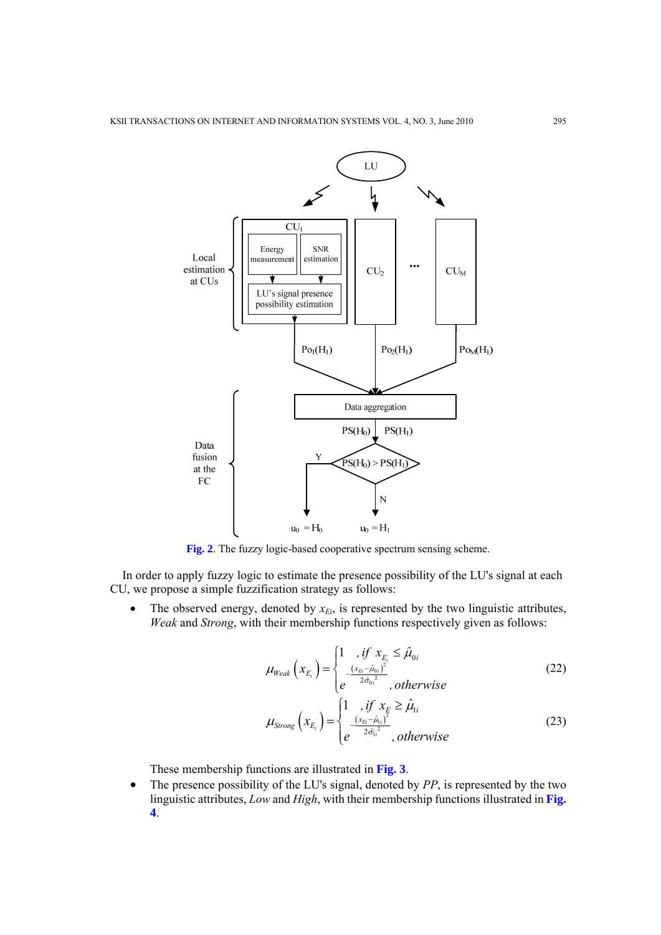

**Fig. 2**. The fuzzy logic-based cooperative spectrum sensing scheme.

In order to apply fuzzy logic to estimate the presence possibility of the LU's signal at each CU, we propose a simple fuzzification strategy as follows:

The observed energy, denoted by  $x_{Ei}$ , is represented by the two linguistic attributes, *Weak* and *Strong*, with their membership functions respectively given as follows:

$$
\mu_{Weak}\left(x_{E_i}\right) = \begin{cases} 1, & \text{if } x_{E_i} \leq \hat{\mu}_{0i} \\ \frac{\left(x_{E_i} - \hat{\mu}_{0i}\right)^2}{2\hat{\sigma}_{0i}^2}, & \text{otherwise} \end{cases}
$$
\n(22)

$$
\mu_{\text{Strong}}\left(x_{E_i}\right) = \begin{cases} 1, & \text{if } x_E \ge \hat{\mu}_{1i} \\ \frac{\left(x_{E_i} - \hat{\mu}_{1i}\right)^2}{2\hat{\sigma}_{1i}^2}, & \text{otherwise} \end{cases}
$$
\n(23)

These membership functions are illustrated in **Fig. 3**.

• The presence possibility of the LU's signal, denoted by *PP*, is represented by the two linguistic attributes, *Low* and *High*, with their membership functions illustrated in **Fig. 4**.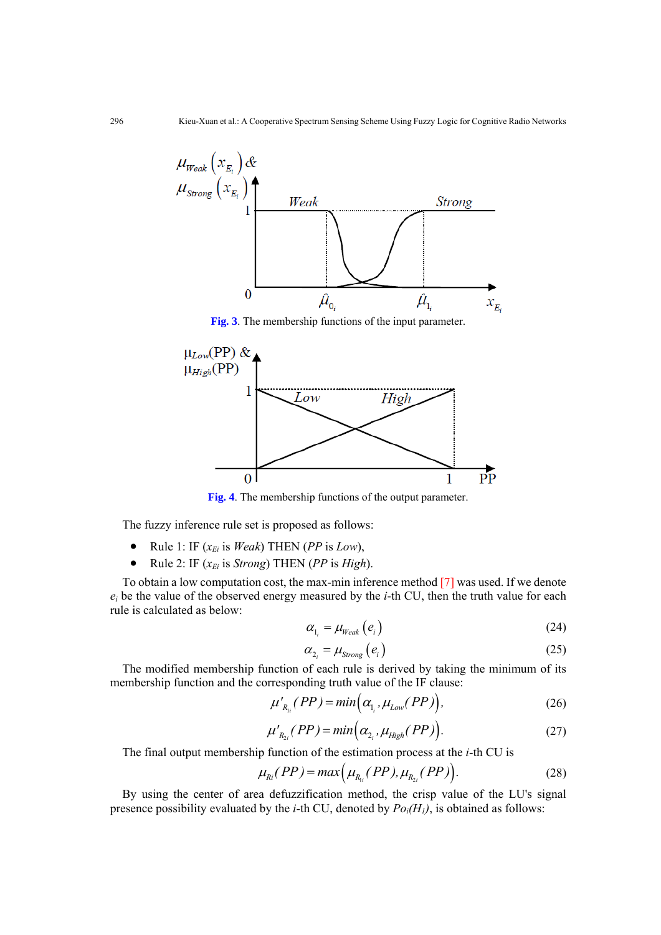

**Fig. 3**. The membership functions of the input parameter.



**Fig. 4**. The membership functions of the output parameter.

The fuzzy inference rule set is proposed as follows:

- Rule 1: IF  $(x_{E_i})$  is *Weak*) THEN (*PP* is *Low*),
- Rule 2: IF  $(x_{E_i}$  is *Strong*) THEN (*PP* is *High*).

To obtain a low computation cost, the max-min inference method [7] was used. If we denote *ei* be the value of the observed energy measured by the *i*-th CU, then the truth value for each rule is calculated as below:

$$
\alpha_{l_i} = \mu_{\text{Weak}}\left(e_i\right) \tag{24}
$$

$$
\alpha_{2_i} = \mu_{\text{Strong}}\left(e_i\right) \tag{25}
$$

The modified membership function of each rule is derived by taking the minimum of its membership function and the corresponding truth value of the IF clause:

$$
\mu'_{R_{ij}}(PP) = min(\alpha_{l_i}, \mu_{Low}(PP)), \qquad (26)
$$

$$
\mu'_{R_{2i}}(PP) = min(\alpha_{2_i}, \mu_{High}(PP)).
$$
\n(27)

The final output membership function of the estimation process at the *i*-th CU is

$$
\mu_{Ri}(PP) = max(\mu_{R_{1i}}(PP), \mu_{R_{2i}}(PP)).
$$
\n(28)

By using the center of area defuzzification method, the crisp value of the LU's signal presence possibility evaluated by the *i*-th CU, denoted by  $Po_i(H_i)$ , is obtained as follows: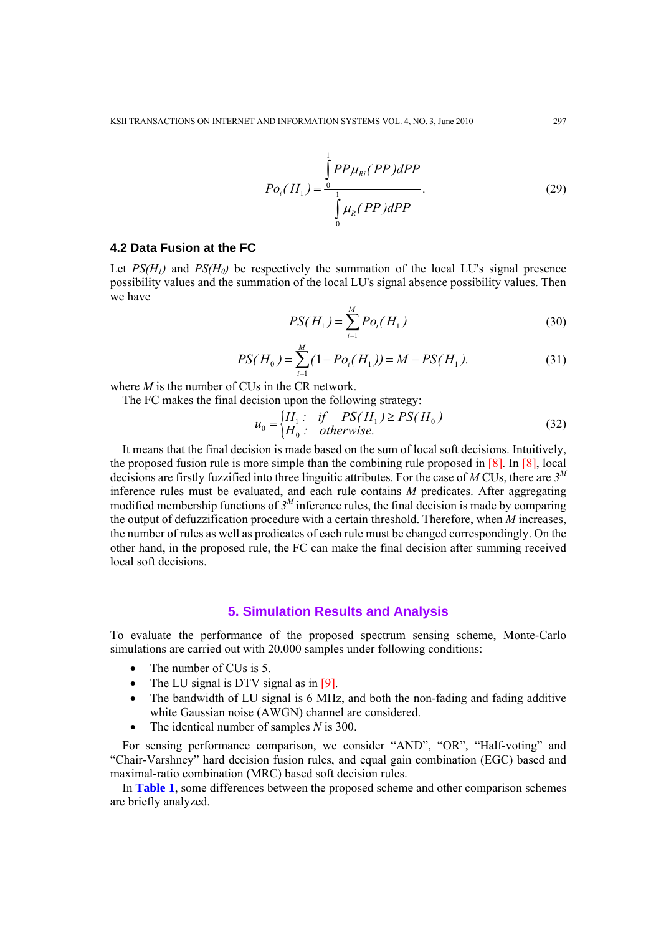$$
Po_i(H_1) = \frac{\int_{0}^{1} PP\mu_{Ri}(PP)dPP}{\int_{0}^{1} \mu_{R}(PP)dPP}.
$$
 (29)

## **4.2 Data Fusion at the FC**

Let  $PS(H_1)$  and  $PS(H_0)$  be respectively the summation of the local LU's signal presence possibility values and the summation of the local LU's signal absence possibility values. Then we have

$$
PS(H_1) = \sum_{i=1}^{M} Po_i(H_1)
$$
\n(30)

$$
PS(H_0) = \sum_{i=1}^{M} (1 - Po_i(H_1)) = M - PS(H_1).
$$
 (31)

where *M* is the number of CUs in the CR network.

The FC makes the final decision upon the following strategy:

$$
u_0 =\begin{cases} H_1: & \text{if } PS(H_1) \ge PS(H_0) \\ H_0: & \text{otherwise.} \end{cases}
$$
 (32)

It means that the final decision is made based on the sum of local soft decisions. Intuitively, the proposed fusion rule is more simple than the combining rule proposed in [8]. In [8], local decisions are firstly fuzzified into three linguitic attributes. For the case of *M* CUs, there are *3<sup>M</sup>* inference rules must be evaluated, and each rule contains *M* predicates. After aggregating modified membership functions of  $3^M$  inference rules, the final decision is made by comparing the output of defuzzification procedure with a certain threshold. Therefore, when *M* increases, the number of rules as well as predicates of each rule must be changed correspondingly. On the other hand, in the proposed rule, the FC can make the final decision after summing received local soft decisions.

# **5. Simulation Results and Analysis**

To evaluate the performance of the proposed spectrum sensing scheme, Monte-Carlo simulations are carried out with 20,000 samples under following conditions:

- The number of CUs is 5.
- The LU signal is DTV signal as in [9].
- The bandwidth of LU signal is 6 MHz, and both the non-fading and fading additive white Gaussian noise (AWGN) channel are considered.
- The identical number of samples *N* is 300.

For sensing performance comparison, we consider "AND", "OR", "Half-voting" and "Chair-Varshney" hard decision fusion rules, and equal gain combination (EGC) based and maximal-ratio combination (MRC) based soft decision rules.

In **Table 1**, some differences between the proposed scheme and other comparison schemes are briefly analyzed.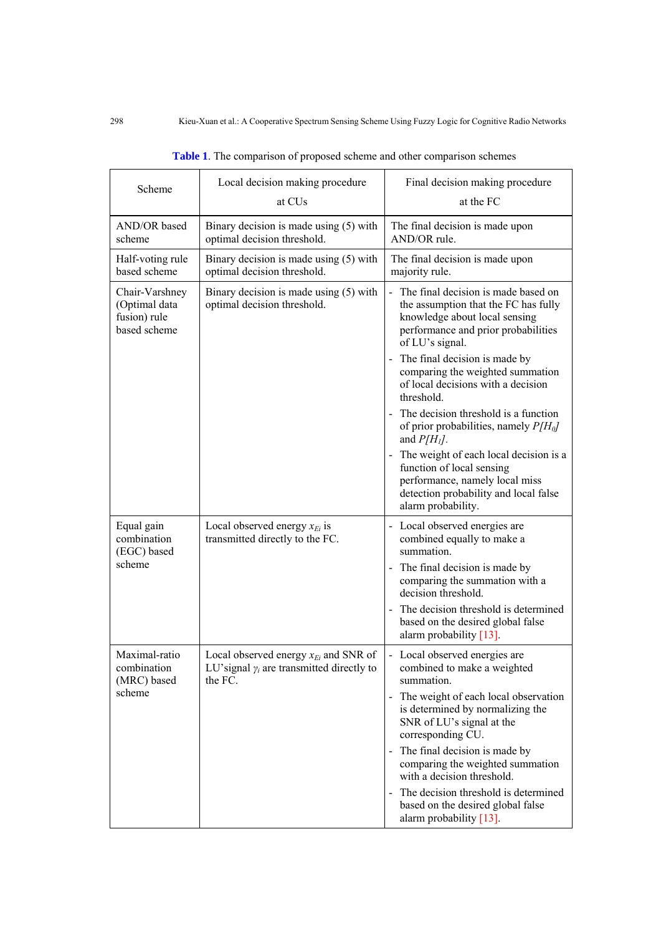| Scheme                                                          | Local decision making procedure<br>at CU <sub>s</sub>                                                     | Final decision making procedure<br>at the FC                                                                                                                             |
|-----------------------------------------------------------------|-----------------------------------------------------------------------------------------------------------|--------------------------------------------------------------------------------------------------------------------------------------------------------------------------|
| AND/OR based<br>scheme                                          | Binary decision is made using (5) with<br>optimal decision threshold.                                     | The final decision is made upon<br>AND/OR rule.                                                                                                                          |
| Half-voting rule<br>based scheme                                | Binary decision is made using (5) with<br>optimal decision threshold.                                     | The final decision is made upon<br>majority rule.                                                                                                                        |
| Chair-Varshney<br>(Optimal data<br>fusion) rule<br>based scheme | Binary decision is made using (5) with<br>optimal decision threshold.                                     | - The final decision is made based on<br>the assumption that the FC has fully<br>knowledge about local sensing<br>performance and prior probabilities<br>of LU's signal. |
|                                                                 |                                                                                                           | - The final decision is made by<br>comparing the weighted summation<br>of local decisions with a decision<br>threshold.                                                  |
|                                                                 |                                                                                                           | The decision threshold is a function<br>of prior probabilities, namely $P/H_0$<br>and $P/H1$ .                                                                           |
|                                                                 |                                                                                                           | The weight of each local decision is a<br>function of local sensing<br>performance, namely local miss<br>detection probability and local false<br>alarm probability.     |
| Equal gain<br>combination<br>(EGC) based                        | Local observed energy $x_{E_i}$ is<br>transmitted directly to the FC.                                     | - Local observed energies are<br>combined equally to make a<br>summation.                                                                                                |
| scheme                                                          |                                                                                                           | - The final decision is made by<br>comparing the summation with a<br>decision threshold.                                                                                 |
|                                                                 |                                                                                                           | The decision threshold is determined<br>based on the desired global false<br>alarm probability [13].                                                                     |
| Maximal-ratio<br>combination<br>(MRC) based                     | Local observed energy $x_{E_i}$ and SNR of<br>LU'signal $\gamma_i$ are transmitted directly to<br>the FC. | - Local observed energies are<br>combined to make a weighted<br>summation.                                                                                               |
| scheme                                                          |                                                                                                           | - The weight of each local observation<br>is determined by normalizing the<br>SNR of LU's signal at the<br>corresponding CU.                                             |
|                                                                 |                                                                                                           | - The final decision is made by<br>comparing the weighted summation<br>with a decision threshold.                                                                        |
|                                                                 |                                                                                                           | - The decision threshold is determined<br>based on the desired global false<br>alarm probability $[13]$ .                                                                |

| Table 1. The comparison of proposed scheme and other comparison schemes |  |  |  |  |  |  |
|-------------------------------------------------------------------------|--|--|--|--|--|--|
|-------------------------------------------------------------------------|--|--|--|--|--|--|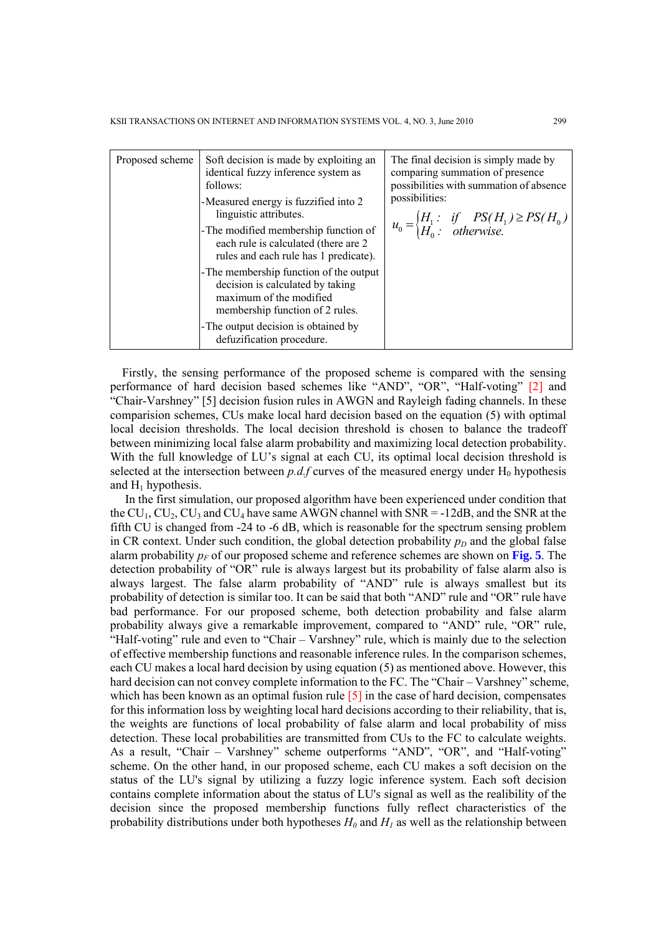| Proposed scheme | Soft decision is made by exploiting an<br>identical fuzzy inference system as<br>follows:                                                 | The final decision is simply made by<br>comparing summation of presence<br>possibilities with summation of absence<br>possibilities: |
|-----------------|-------------------------------------------------------------------------------------------------------------------------------------------|--------------------------------------------------------------------------------------------------------------------------------------|
|                 | -Measured energy is fuzzified into 2<br>linguistic attributes.                                                                            |                                                                                                                                      |
|                 | -The modified membership function of<br>each rule is calculated (there are 2<br>rules and each rule has 1 predicate).                     | $u_0 =\begin{cases} H_1: & \text{if } PS(H_1) \ge PS(H_0) \\ H_0: & \text{otherwise.} \end{cases}$                                   |
|                 | - The membership function of the output<br>decision is calculated by taking<br>maximum of the modified<br>membership function of 2 rules. |                                                                                                                                      |
|                 | - The output decision is obtained by<br>defuzification procedure.                                                                         |                                                                                                                                      |

Firstly, the sensing performance of the proposed scheme is compared with the sensing performance of hard decision based schemes like "AND", "OR", "Half-voting" [2] and "Chair-Varshney" [5] decision fusion rules in AWGN and Rayleigh fading channels. In these comparision schemes, CUs make local hard decision based on the equation (5) with optimal local decision thresholds. The local decision threshold is chosen to balance the tradeoff between minimizing local false alarm probability and maximizing local detection probability. With the full knowledge of LU's signal at each CU, its optimal local decision threshold is selected at the intersection between  $p.d.f$  curves of the measured energy under  $H_0$  hypothesis and  $H_1$  hypothesis.

In the first simulation, our proposed algorithm have been experienced under condition that the  $CU_1, CU_2, CU_3$  and  $CU_4$  have same AWGN channel with  $SNR = -12dB$ , and the SNR at the fifth CU is changed from -24 to -6 dB, which is reasonable for the spectrum sensing problem in CR context. Under such condition, the global detection probability  $p<sub>D</sub>$  and the global false alarm probability  $p_F$  of our proposed scheme and reference schemes are shown on **Fig. 5**. The detection probability of "OR" rule is always largest but its probability of false alarm also is always largest. The false alarm probability of "AND" rule is always smallest but its probability of detection is similar too. It can be said that both "AND" rule and "OR" rule have bad performance. For our proposed scheme, both detection probability and false alarm probability always give a remarkable improvement, compared to "AND" rule, "OR" rule, "Half-voting" rule and even to "Chair – Varshney" rule, which is mainly due to the selection of effective membership functions and reasonable inference rules. In the comparison schemes, each CU makes a local hard decision by using equation (5) as mentioned above. However, this hard decision can not convey complete information to the FC. The "Chair – Varshney" scheme, which has been known as an optimal fusion rule  $[5]$  in the case of hard decision, compensates for this information loss by weighting local hard decisions according to their reliability, that is, the weights are functions of local probability of false alarm and local probability of miss detection. These local probabilities are transmitted from CUs to the FC to calculate weights. As a result, "Chair – Varshney" scheme outperforms "AND", "OR", and "Half-voting" scheme. On the other hand, in our proposed scheme, each CU makes a soft decision on the status of the LU's signal by utilizing a fuzzy logic inference system. Each soft decision contains complete information about the status of LU's signal as well as the realibility of the decision since the proposed membership functions fully reflect characteristics of the probability distributions under both hypotheses  $H_0$  and  $H_1$  as well as the relationship between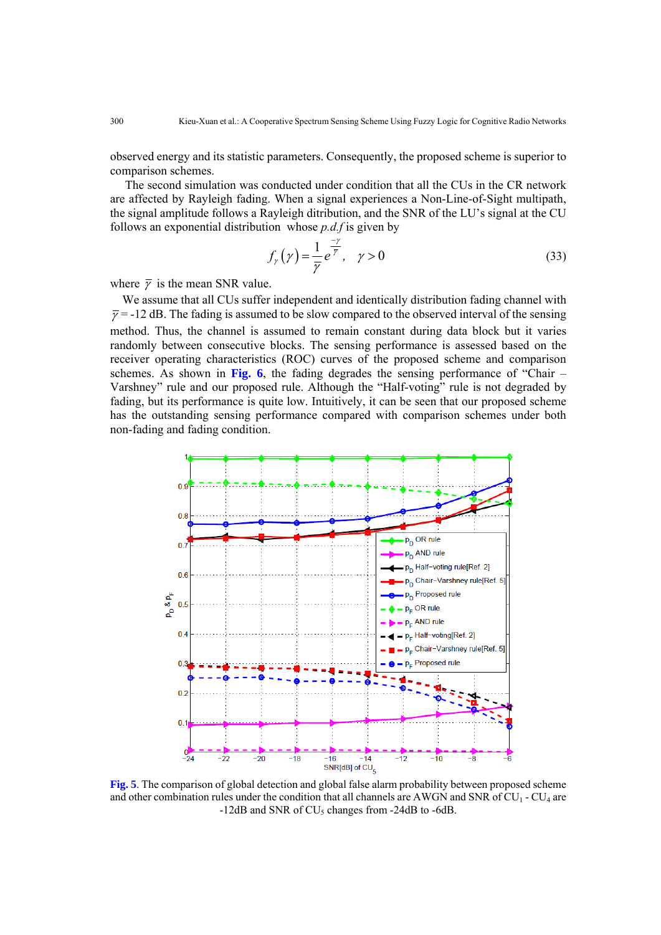observed energy and its statistic parameters. Consequently, the proposed scheme is superior to comparison schemes.

The second simulation was conducted under condition that all the CUs in the CR network are affected by Rayleigh fading. When a signal experiences a Non-Line-of-Sight multipath, the signal amplitude follows a Rayleigh ditribution, and the SNR of the LU's signal at the CU follows an exponential distribution whose *p.d.f* is given by

$$
f_{\gamma}\left(\gamma\right) = \frac{1}{\overline{\gamma}}e^{\frac{-\gamma}{\overline{\gamma}}}, \quad \gamma > 0 \tag{33}
$$

where  $\bar{\gamma}$  is the mean SNR value.

We assume that all CUs suffer independent and identically distribution fading channel with  $\bar{y} = -12$  dB. The fading is assumed to be slow compared to the observed interval of the sensing method. Thus, the channel is assumed to remain constant during data block but it varies randomly between consecutive blocks. The sensing performance is assessed based on the receiver operating characteristics (ROC) curves of the proposed scheme and comparison schemes. As shown in **Fig. 6**, the fading degrades the sensing performance of "Chair – Varshney" rule and our proposed rule. Although the "Half-voting" rule is not degraded by fading, but its performance is quite low. Intuitively, it can be seen that our proposed scheme has the outstanding sensing performance compared with comparison schemes under both non-fading and fading condition.



**Fig. 5**. The comparison of global detection and global false alarm probability between proposed scheme and other combination rules under the condition that all channels are AWGN and SNR of  $CU_1 - CU_4$  are  $-12$ dB and SNR of CU<sub>5</sub> changes from  $-24$ dB to  $-6$ dB.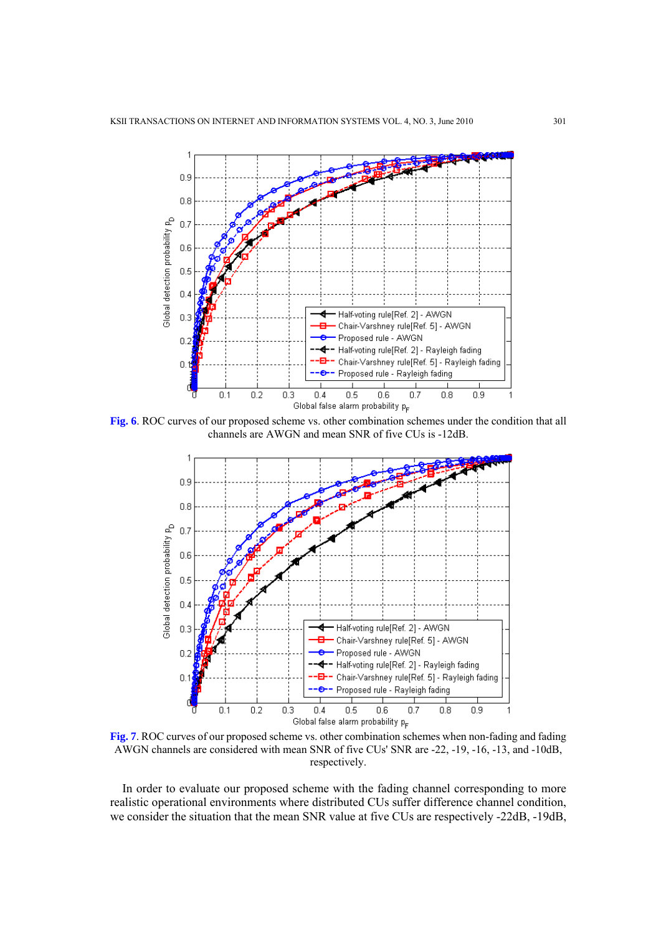

**Fig. 6**. ROC curves of our proposed scheme vs. other combination schemes under the condition that all channels are AWGN and mean SNR of five CUs is -12dB.



**Fig. 7**. ROC curves of our proposed scheme vs. other combination schemes when non-fading and fading AWGN channels are considered with mean SNR of five CUs' SNR are -22, -19, -16, -13, and -10dB, respectively.

In order to evaluate our proposed scheme with the fading channel corresponding to more realistic operational environments where distributed CUs suffer difference channel condition, we consider the situation that the mean SNR value at five CUs are respectively -22dB, -19dB,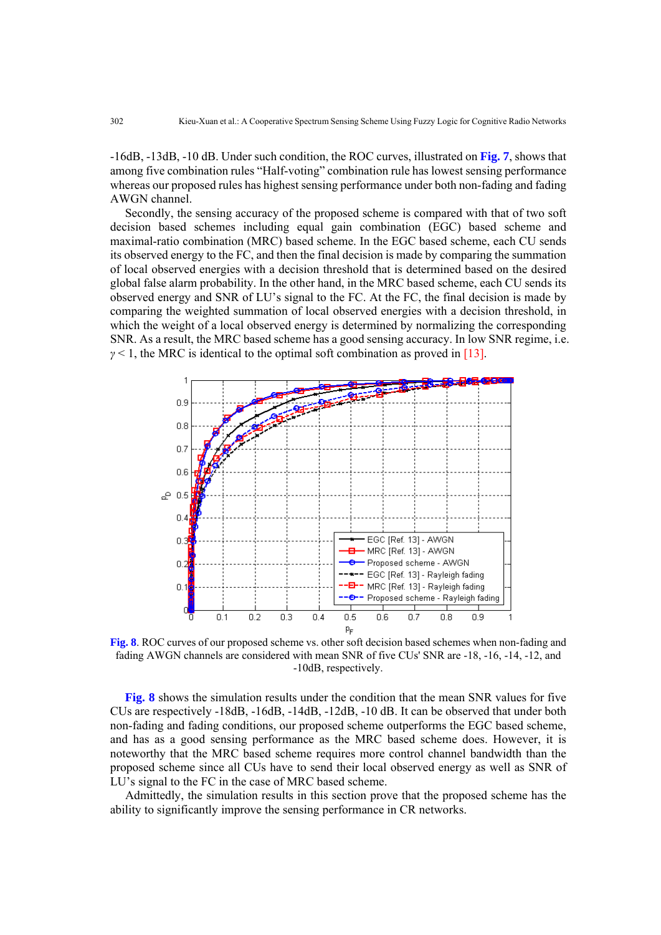-16dB, -13dB, -10 dB. Under such condition, the ROC curves, illustrated on **Fig. 7**, shows that among five combination rules "Half-voting" combination rule has lowest sensing performance whereas our proposed rules has highest sensing performance under both non-fading and fading AWGN channel.

Secondly, the sensing accuracy of the proposed scheme is compared with that of two soft decision based schemes including equal gain combination (EGC) based scheme and maximal-ratio combination (MRC) based scheme. In the EGC based scheme, each CU sends its observed energy to the FC, and then the final decision is made by comparing the summation of local observed energies with a decision threshold that is determined based on the desired global false alarm probability. In the other hand, in the MRC based scheme, each CU sends its observed energy and SNR of LU's signal to the FC. At the FC, the final decision is made by comparing the weighted summation of local observed energies with a decision threshold, in which the weight of a local observed energy is determined by normalizing the corresponding SNR. As a result, the MRC based scheme has a good sensing accuracy. In low SNR regime, i.e.  $\gamma$  < 1, the MRC is identical to the optimal soft combination as proved in [13].



**Fig. 8**. ROC curves of our proposed scheme vs. other soft decision based schemes when non-fading and fading AWGN channels are considered with mean SNR of five CUs' SNR are -18, -16, -14, -12, and -10dB, respectively.

**Fig. 8** shows the simulation results under the condition that the mean SNR values for five CUs are respectively -18dB, -16dB, -14dB, -12dB, -10 dB. It can be observed that under both non-fading and fading conditions, our proposed scheme outperforms the EGC based scheme, and has as a good sensing performance as the MRC based scheme does. However, it is noteworthy that the MRC based scheme requires more control channel bandwidth than the proposed scheme since all CUs have to send their local observed energy as well as SNR of LU's signal to the FC in the case of MRC based scheme.

Admittedly, the simulation results in this section prove that the proposed scheme has the ability to significantly improve the sensing performance in CR networks.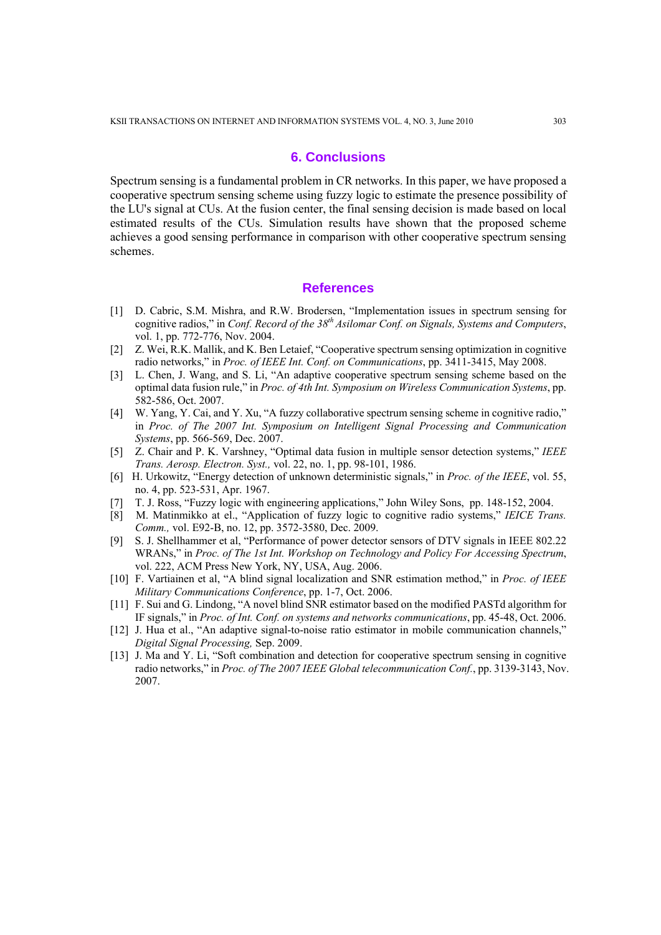### **6. Conclusions**

Spectrum sensing is a fundamental problem in CR networks. In this paper, we have proposed a cooperative spectrum sensing scheme using fuzzy logic to estimate the presence possibility of the LU's signal at CUs. At the fusion center, the final sensing decision is made based on local estimated results of the CUs. Simulation results have shown that the proposed scheme achieves a good sensing performance in comparison with other cooperative spectrum sensing schemes.

## **References**

- [1] D. Cabric, S.M. Mishra, and R.W. Brodersen, "Implementation issues in spectrum sensing for cognitive radios," in *Conf. Record of the 38th Asilomar Conf. on Signals, Systems and Computers*, vol. 1, pp. 772-776, Nov. 2004.
- [2] Z. Wei, R.K. Mallik, and K. Ben Letaief, "Cooperative spectrum sensing optimization in cognitive radio networks," in *Proc. of IEEE Int. Conf. on Communications*, pp. 3411-3415, May 2008.
- [3] L. Chen, J. Wang, and S. Li, "An adaptive cooperative spectrum sensing scheme based on the optimal data fusion rule," in *Proc. of 4th Int. Symposium on Wireless Communication Systems*, pp. 582-586, Oct. 2007.
- [4] W. Yang, Y. Cai, and Y. Xu, "A fuzzy collaborative spectrum sensing scheme in cognitive radio," in *Proc. of The 2007 Int. Symposium on Intelligent Signal Processing and Communication Systems*, pp. 566-569, Dec. 2007.
- [5] Z. Chair and P. K. Varshney, "Optimal data fusion in multiple sensor detection systems," *IEEE Trans. Aerosp. Electron. Syst.,* vol. 22, no. 1, pp. 98-101, 1986.
- [6] H. Urkowitz, "Energy detection of unknown deterministic signals," in *Proc. of the IEEE*, vol. 55, no. 4, pp. 523-531, Apr. 1967.
- [7] T. J. Ross, "Fuzzy logic with engineering applications," John Wiley Sons, pp. 148-152, 2004.
- [8] M. Matinmikko at el., "Application of fuzzy logic to cognitive radio systems," *IEICE Trans. Comm.,* vol. E92-B, no. 12, pp. 3572-3580, Dec. 2009.
- [9] S. J. Shellhammer et al, "Performance of power detector sensors of DTV signals in IEEE 802.22 WRANs," in *Proc. of The 1st Int. Workshop on Technology and Policy For Accessing Spectrum*, vol. 222, ACM Press New York, NY, USA, Aug. 2006.
- [10] F. Vartiainen et al, "A blind signal localization and SNR estimation method," in *Proc. of IEEE Military Communications Conference*, pp. 1-7, Oct. 2006.
- [11] F. Sui and G. Lindong, "A novel blind SNR estimator based on the modified PASTd algorithm for IF signals," in *Proc. of Int. Conf. on systems and networks communications*, pp. 45-48, Oct. 2006.
- [12] J. Hua et al., "An adaptive signal-to-noise ratio estimator in mobile communication channels," *Digital Signal Processing,* Sep. 2009.
- [13] J. Ma and Y. Li, "Soft combination and detection for cooperative spectrum sensing in cognitive radio networks," in *Proc. of The 2007 IEEE Global telecommunication Conf.*, pp. 3139-3143, Nov. 2007.